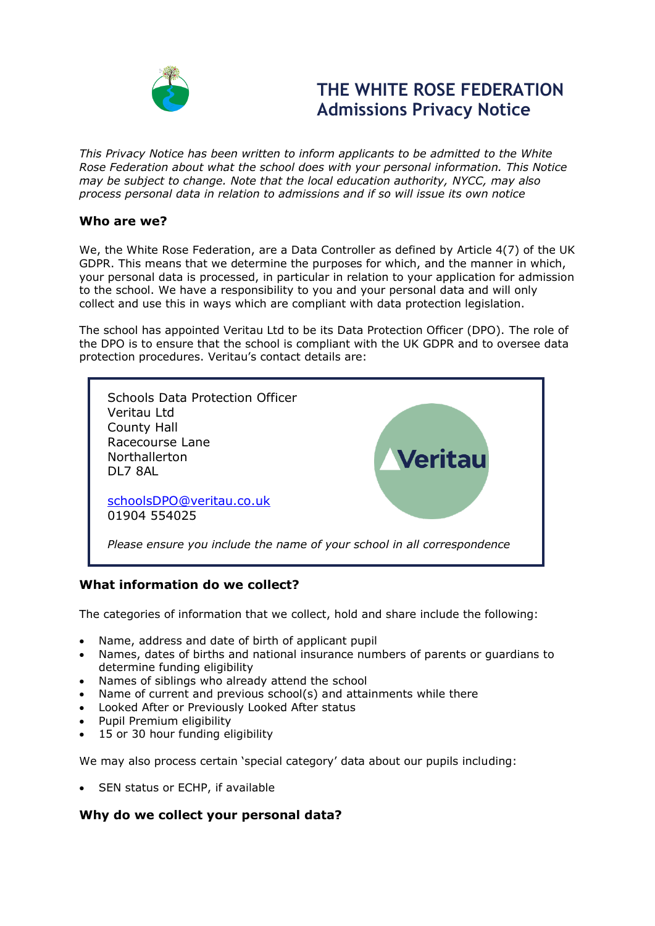

# **THE WHITE ROSE FEDERATION Admissions Privacy Notice**

*This Privacy Notice has been written to inform applicants to be admitted to the White Rose Federation about what the school does with your personal information. This Notice may be subject to change. Note that the local education authority, NYCC, may also process personal data in relation to admissions and if so will issue its own notice*

## **Who are we?**

We, the White Rose Federation, are a Data Controller as defined by Article 4(7) of the UK GDPR. This means that we determine the purposes for which, and the manner in which, your personal data is processed, in particular in relation to your application for admission to the school. We have a responsibility to you and your personal data and will only collect and use this in ways which are compliant with data protection legislation.

The school has appointed Veritau Ltd to be its Data Protection Officer (DPO). The role of the DPO is to ensure that the school is compliant with the UK GDPR and to oversee data protection procedures. Veritau's contact details are:



## **What information do we collect?**

The categories of information that we collect, hold and share include the following:

- Name, address and date of birth of applicant pupil
- Names, dates of births and national insurance numbers of parents or guardians to determine funding eligibility
- Names of siblings who already attend the school
- Name of current and previous school(s) and attainments while there
- Looked After or Previously Looked After status
- Pupil Premium eligibility
- 15 or 30 hour funding eligibility

We may also process certain 'special category' data about our pupils including:

• SEN status or ECHP, if available

## **Why do we collect your personal data?**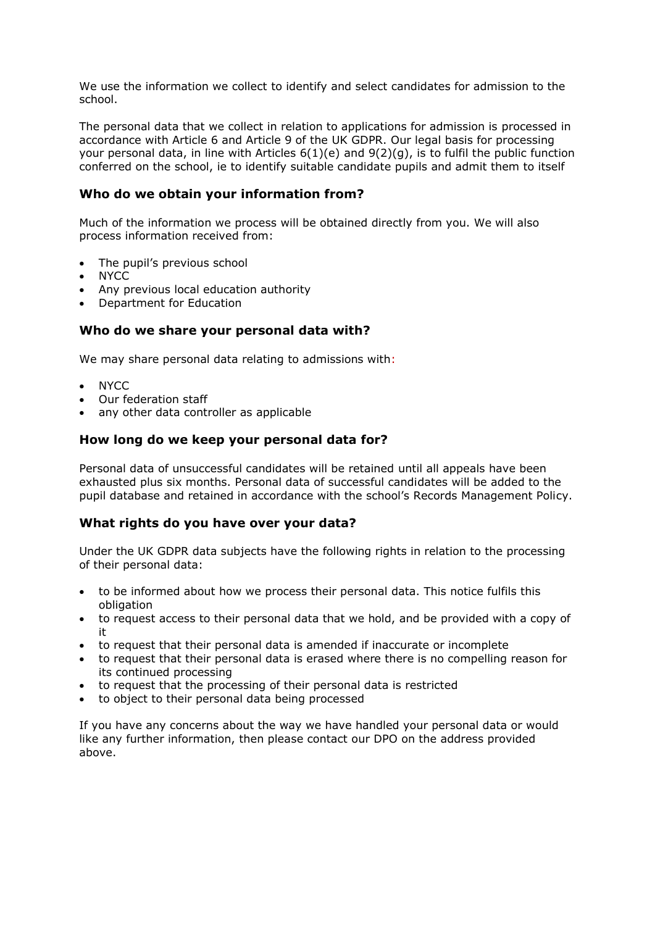We use the information we collect to identify and select candidates for admission to the school.

The personal data that we collect in relation to applications for admission is processed in accordance with Article 6 and Article 9 of the UK GDPR. Our legal basis for processing your personal data, in line with Articles  $6(1)(e)$  and  $9(2)(q)$ , is to fulfil the public function conferred on the school, ie to identify suitable candidate pupils and admit them to itself

## **Who do we obtain your information from?**

Much of the information we process will be obtained directly from you. We will also process information received from:

- The pupil's previous school
- NYCC
- Any previous local education authority
- Department for Education

## **Who do we share your personal data with?**

We may share personal data relating to admissions with:

- NYCC
- Our federation staff
- any other data controller as applicable

## **How long do we keep your personal data for?**

Personal data of unsuccessful candidates will be retained until all appeals have been exhausted plus six months. Personal data of successful candidates will be added to the pupil database and retained in accordance with the school's Records Management Policy.

## **What rights do you have over your data?**

Under the UK GDPR data subjects have the following rights in relation to the processing of their personal data:

- to be informed about how we process their personal data. This notice fulfils this obligation
- to request access to their personal data that we hold, and be provided with a copy of it
- to request that their personal data is amended if inaccurate or incomplete
- to request that their personal data is erased where there is no compelling reason for its continued processing
- to request that the processing of their personal data is restricted
- to object to their personal data being processed

If you have any concerns about the way we have handled your personal data or would like any further information, then please contact our DPO on the address provided above.